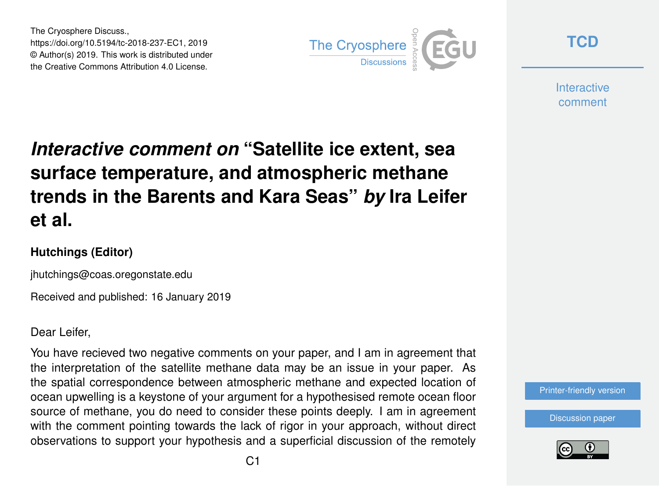The Cryosphere Discuss., https://doi.org/10.5194/tc-2018-237-EC1, 2019 © Author(s) 2019. This work is distributed under the Creative Commons Attribution 4.0 License.



**[TCD](https://www.the-cryosphere-discuss.net/)**

**Interactive** comment

## *Interactive comment on* **"Satellite ice extent, sea surface temperature, and atmospheric methane trends in the Barents and Kara Seas"** *by* **Ira Leifer et al.**

## **Hutchings (Editor)**

jhutchings@coas.oregonstate.edu

Received and published: 16 January 2019

Dear Leifer,

You have recieved two negative comments on your paper, and I am in agreement that the interpretation of the satellite methane data may be an issue in your paper. As the spatial correspondence between atmospheric methane and expected location of ocean upwelling is a keystone of your argument for a hypothesised remote ocean floor source of methane, you do need to consider these points deeply. I am in agreement with the comment pointing towards the lack of rigor in your approach, without direct observations to support your hypothesis and a superficial discussion of the remotely



[Discussion paper](https://www.the-cryosphere-discuss.net/tc-2018-237)